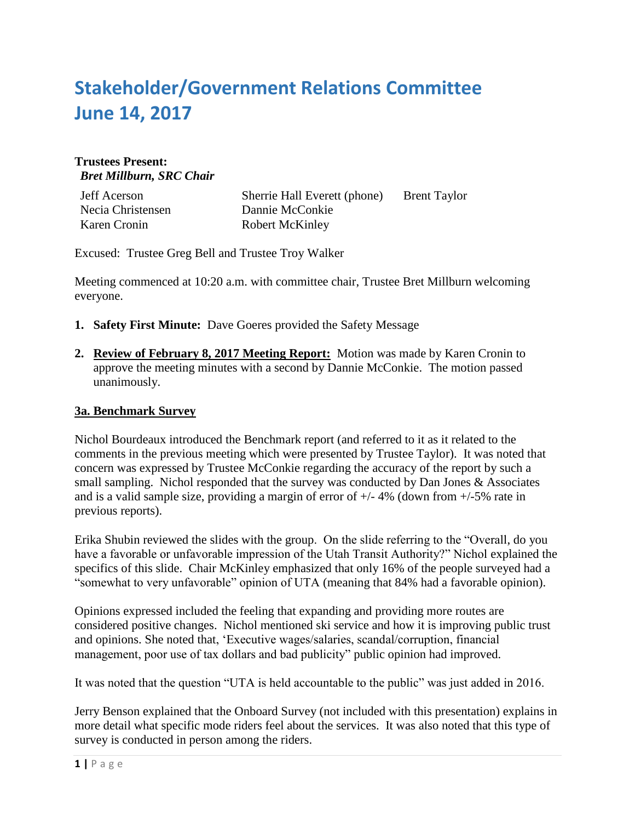# **Stakeholder/Government Relations Committee June 14, 2017**

# **Trustees Present:** *Bret Millburn, SRC Chair*

| <b>Jeff Acerson</b> |
|---------------------|
| Necia Christensen   |
| Karen Cronin        |

Sherrie Hall Everett (phone) Brent Taylor Dannie McConkie Robert McKinley

Excused: Trustee Greg Bell and Trustee Troy Walker

Meeting commenced at 10:20 a.m. with committee chair, Trustee Bret Millburn welcoming everyone.

- **1. Safety First Minute:** Dave Goeres provided the Safety Message
- **2. Review of February 8, 2017 Meeting Report:** Motion was made by Karen Cronin to approve the meeting minutes with a second by Dannie McConkie. The motion passed unanimously.

## **3a. Benchmark Survey**

Nichol Bourdeaux introduced the Benchmark report (and referred to it as it related to the comments in the previous meeting which were presented by Trustee Taylor). It was noted that concern was expressed by Trustee McConkie regarding the accuracy of the report by such a small sampling. Nichol responded that the survey was conducted by Dan Jones & Associates and is a valid sample size, providing a margin of error of  $+/- 4\%$  (down from  $+/-5\%$  rate in previous reports).

Erika Shubin reviewed the slides with the group. On the slide referring to the "Overall, do you have a favorable or unfavorable impression of the Utah Transit Authority?" Nichol explained the specifics of this slide. Chair McKinley emphasized that only 16% of the people surveyed had a "somewhat to very unfavorable" opinion of UTA (meaning that 84% had a favorable opinion).

Opinions expressed included the feeling that expanding and providing more routes are considered positive changes. Nichol mentioned ski service and how it is improving public trust and opinions. She noted that, 'Executive wages/salaries, scandal/corruption, financial management, poor use of tax dollars and bad publicity" public opinion had improved.

It was noted that the question "UTA is held accountable to the public" was just added in 2016.

Jerry Benson explained that the Onboard Survey (not included with this presentation) explains in more detail what specific mode riders feel about the services. It was also noted that this type of survey is conducted in person among the riders.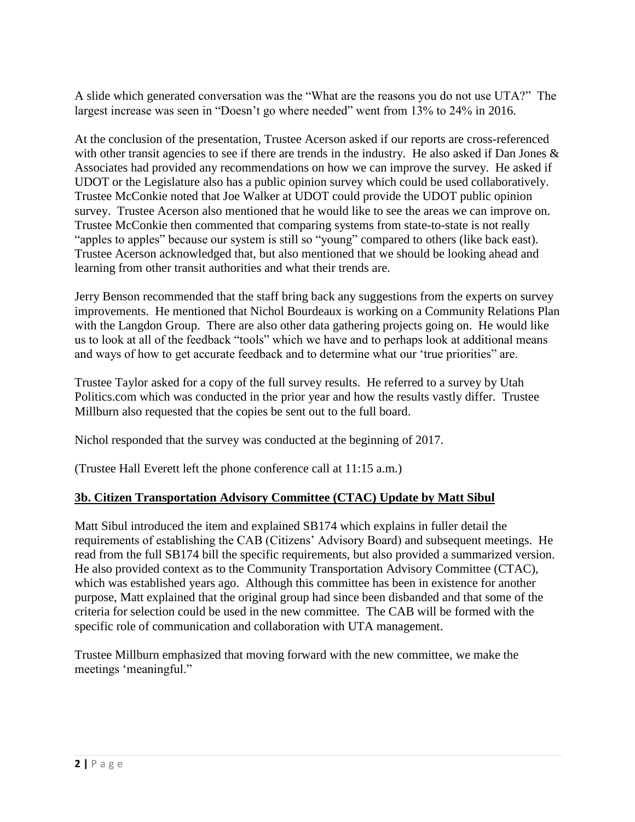A slide which generated conversation was the "What are the reasons you do not use UTA?" The largest increase was seen in "Doesn't go where needed" went from 13% to 24% in 2016.

At the conclusion of the presentation, Trustee Acerson asked if our reports are cross-referenced with other transit agencies to see if there are trends in the industry. He also asked if Dan Jones & Associates had provided any recommendations on how we can improve the survey. He asked if UDOT or the Legislature also has a public opinion survey which could be used collaboratively. Trustee McConkie noted that Joe Walker at UDOT could provide the UDOT public opinion survey. Trustee Acerson also mentioned that he would like to see the areas we can improve on. Trustee McConkie then commented that comparing systems from state-to-state is not really "apples to apples" because our system is still so "young" compared to others (like back east). Trustee Acerson acknowledged that, but also mentioned that we should be looking ahead and learning from other transit authorities and what their trends are.

Jerry Benson recommended that the staff bring back any suggestions from the experts on survey improvements. He mentioned that Nichol Bourdeaux is working on a Community Relations Plan with the Langdon Group. There are also other data gathering projects going on. He would like us to look at all of the feedback "tools" which we have and to perhaps look at additional means and ways of how to get accurate feedback and to determine what our 'true priorities" are.

Trustee Taylor asked for a copy of the full survey results. He referred to a survey by Utah Politics.com which was conducted in the prior year and how the results vastly differ. Trustee Millburn also requested that the copies be sent out to the full board.

Nichol responded that the survey was conducted at the beginning of 2017.

(Trustee Hall Everett left the phone conference call at 11:15 a.m.)

## **3b. Citizen Transportation Advisory Committee (CTAC) Update by Matt Sibul**

Matt Sibul introduced the item and explained SB174 which explains in fuller detail the requirements of establishing the CAB (Citizens' Advisory Board) and subsequent meetings. He read from the full SB174 bill the specific requirements, but also provided a summarized version. He also provided context as to the Community Transportation Advisory Committee (CTAC), which was established years ago. Although this committee has been in existence for another purpose, Matt explained that the original group had since been disbanded and that some of the criteria for selection could be used in the new committee. The CAB will be formed with the specific role of communication and collaboration with UTA management.

Trustee Millburn emphasized that moving forward with the new committee, we make the meetings 'meaningful."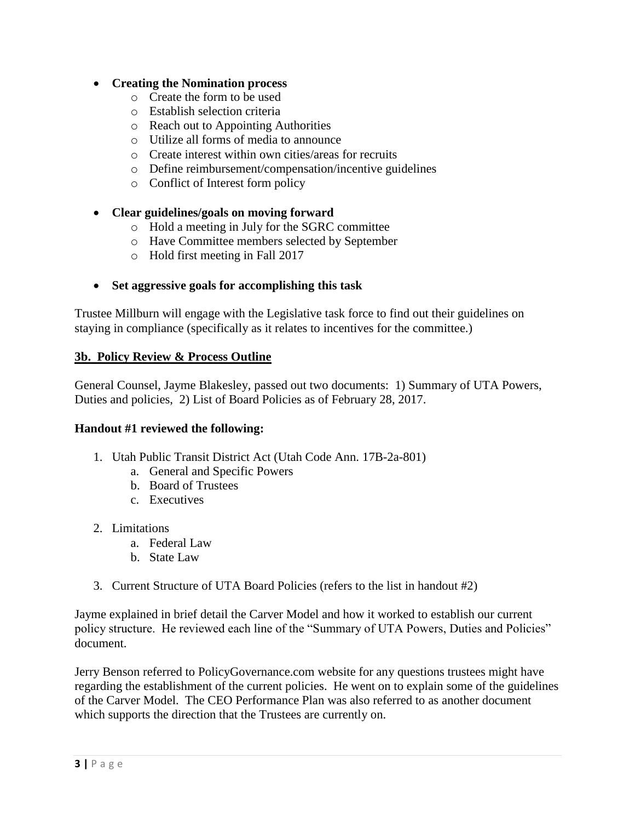# **Creating the Nomination process**

- o Create the form to be used
- o Establish selection criteria
- o Reach out to Appointing Authorities
- o Utilize all forms of media to announce
- o Create interest within own cities/areas for recruits
- o Define reimbursement/compensation/incentive guidelines
- o Conflict of Interest form policy

# **Clear guidelines/goals on moving forward**

- o Hold a meeting in July for the SGRC committee
- o Have Committee members selected by September
- o Hold first meeting in Fall 2017

# **Set aggressive goals for accomplishing this task**

Trustee Millburn will engage with the Legislative task force to find out their guidelines on staying in compliance (specifically as it relates to incentives for the committee.)

## **3b. Policy Review & Process Outline**

General Counsel, Jayme Blakesley, passed out two documents: 1) Summary of UTA Powers, Duties and policies, 2) List of Board Policies as of February 28, 2017.

## **Handout #1 reviewed the following:**

- 1. Utah Public Transit District Act (Utah Code Ann. 17B-2a-801)
	- a. General and Specific Powers
	- b. Board of Trustees
	- c. Executives
- 2. Limitations
	- a. Federal Law
	- b. State Law
- 3. Current Structure of UTA Board Policies (refers to the list in handout #2)

Jayme explained in brief detail the Carver Model and how it worked to establish our current policy structure. He reviewed each line of the "Summary of UTA Powers, Duties and Policies" document.

Jerry Benson referred to PolicyGovernance.com website for any questions trustees might have regarding the establishment of the current policies. He went on to explain some of the guidelines of the Carver Model. The CEO Performance Plan was also referred to as another document which supports the direction that the Trustees are currently on.